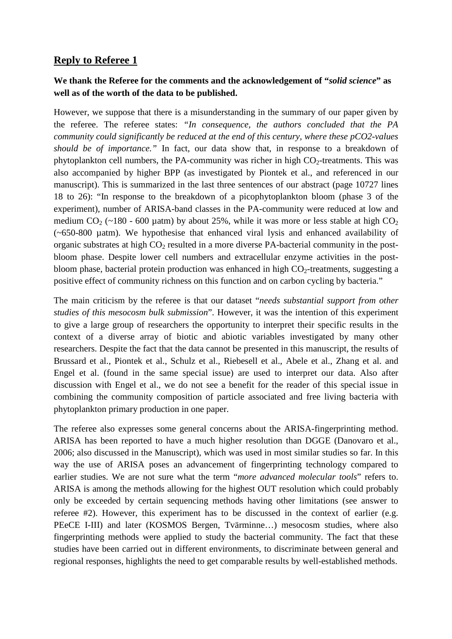## **Reply to Referee 1**

## **We thank the Referee for the comments and the acknowledgement of "***solid science***" as well as of the worth of the data to be published.**

However, we suppose that there is a misunderstanding in the summary of our paper given by the referee. The referee states: *"In consequence, the authors concluded that the PA community could significantly be reduced at the end of this century, where these pCO2-values should be of importance."* In fact, our data show that, in response to a breakdown of phytoplankton cell numbers, the PA-community was richer in high  $CO<sub>2</sub>$ -treatments. This was also accompanied by higher BPP (as investigated by Piontek et al., and referenced in our manuscript). This is summarized in the last three sentences of our abstract (page 10727 lines 18 to 26): "In response to the breakdown of a picophytoplankton bloom (phase 3 of the experiment), number of ARISA-band classes in the PA-community were reduced at low and medium CO<sub>2</sub> (~180 - 600 µatm) by about 25%, while it was more or less stable at high CO<sub>2</sub> (~650-800 µatm). We hypothesise that enhanced viral lysis and enhanced availability of organic substrates at high CO<sub>2</sub> resulted in a more diverse PA-bacterial community in the postbloom phase. Despite lower cell numbers and extracellular enzyme activities in the postbloom phase, bacterial protein production was enhanced in high  $CO<sub>2</sub>$ -treatments, suggesting a positive effect of community richness on this function and on carbon cycling by bacteria."

The main criticism by the referee is that our dataset "*needs substantial support from other studies of this mesocosm bulk submission*". However, it was the intention of this experiment to give a large group of researchers the opportunity to interpret their specific results in the context of a diverse array of biotic and abiotic variables investigated by many other researchers. Despite the fact that the data cannot be presented in this manuscript, the results of Brussard et al., Piontek et al., Schulz et al., Riebesell et al., Abele et al., Zhang et al. and Engel et al. (found in the same special issue) are used to interpret our data. Also after discussion with Engel et al., we do not see a benefit for the reader of this special issue in combining the community composition of particle associated and free living bacteria with phytoplankton primary production in one paper.

The referee also expresses some general concerns about the ARISA-fingerprinting method. ARISA has been reported to have a much higher resolution than DGGE (Danovaro et al., 2006; also discussed in the Manuscript), which was used in most similar studies so far. In this way the use of ARISA poses an advancement of fingerprinting technology compared to earlier studies. We are not sure what the term "*more advanced molecular tools*" refers to. ARISA is among the methods allowing for the highest OUT resolution which could probably only be exceeded by certain sequencing methods having other limitations (see answer to referee #2). However, this experiment has to be discussed in the context of earlier (e.g. PEeCE I-III) and later (KOSMOS Bergen, Tvärminne…) mesocosm studies, where also fingerprinting methods were applied to study the bacterial community. The fact that these studies have been carried out in different environments, to discriminate between general and regional responses, highlights the need to get comparable results by well-established methods.